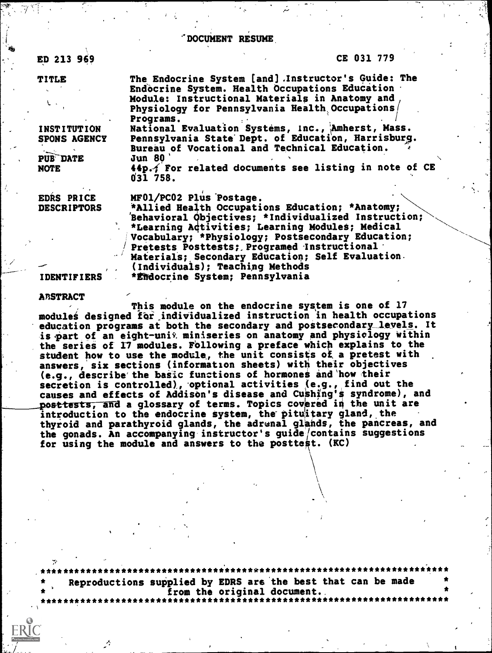'DOCUMENT RESUME,

ED 213 969

#### CE 031 779

TITLE

INSTITUTION National Evaluation Systems, Inc., Amherst, Mass. SPONS AGENCY Pennsylvania State Dept. of Education, Harrisburg.

PUB DATE

EDRS PRICE MF01/PC02 Plus Postage.<br>DESCRIPTORS \*Allied Health Occupati \*Allied Health Occupations Education; \*Anatomy; 'Behavioral pbjectives; \*Individualized Instruction; \*Learning Activities; Learning Modules; Medical Vocabulary; \*Physiology; Postsecondary Education; Pretests Posttests; Programed Instructional Materials; Secondary Education; Self Evaluation. -- , (Individuals); Teaching Methods \*Endocrine System; Pennsylvania

**ABSTRACT** 

This module on the endocrine system is one of 17 modules designed for individualized instruction in health occupations education programs at both the secondary and postsecondary levels. It is part of an eight-unit miniseries on anatomy and physiology within the series of 17 modules. rollowing a preface which explains to the student how to use the module, the unit consists of a pretest with answers, six sections (information sheets) with their objectives (e.g., describe'the basic functions of hormones ind'how their secretion is controlled), optional activities (e.g., find out the causes and effects of Addison's disease and Cushing's syndrome), and posttests, and a glossary of terms. Topics covered in the unit are introduction to the endocrine system, the-pituitary gland, the thyroid and parathyroid glands, the adrenal glands, the pancreas, and the gonads. An accompanying instructor's guide/contains suggestions for using the module and answers to the posttest. (KC)

\*\*\*\*\*\*\*\*\*\*\*\*\*\*\*\*\*\*\*\*\*\*\*\*\*\*\*\*\*\*\*\*\*\*\*\*\*\*\*\*\*\*\*\*\*\*\*\*\*\*\*\*\*\*\*\*\*\*\*\*\*\*\*\*\*\*\*\*\*\*\* Reproductions supplied by EDRS are the best that can be made<br>from the original document. \* 4 from the original document. \*\*\*\*\*\*\*\*\*\*\*\*\*\*\*\*\*\*\*\*\*\*\*\*\*\*\*\*\*\*\*\*\*\*\*\*\*\*\*\*\*\*\*\*\*\*\*\*\*\*\*\*\*\*\*\*\*\*\*\*\*\*\*\*\*\*\*\*\*\*\*

Bureau of Vocational and Technical Education.<br>Jun 80

The Endocrine System [and] . Instructor's Guide: The Endocrine System. Health Occupations EduCation Module: Instructional Materials in Anatomy and, Physiology for Pennsylvania Health Occupations/<br>Programs. Programs. The contract of the contract of the contract of the contract of the contract of the contract of the contract of the contract of the contract of the contract of the contract of the contract of the contract of the

 $44p.$ , For related documents see listing in note of CE 031 758.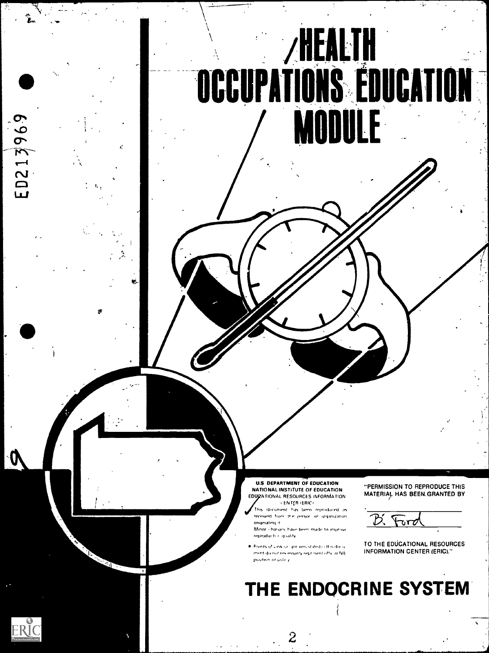

U.S DEPARTMENT OF EDUCATION NATIONAL INSTITUTE OF EDUCATION EDUCATIONAL RESOURCES INFORMATION ENTER 'ERIC,

idocument. has been reproduced as leceived from the person or organization originating it.<br>Minor - hanges

<sup>r</sup> fr.Irror"ti lorrrn made, to improve reproducts c quality

Points of unwisin , pin, ons stated in this docu ment do not necessarly repr isent official NIE position of policy

 $\overline{z}$ 

'PERMISSION TO REPRODUCE THIS MATERIA). HAS BEEN,GRANTED BY

TO THE EDUCATIONAL RESOURCES INFORMATION CENTER (ERIC)."

# THE ENDOCRINE SYSTEM

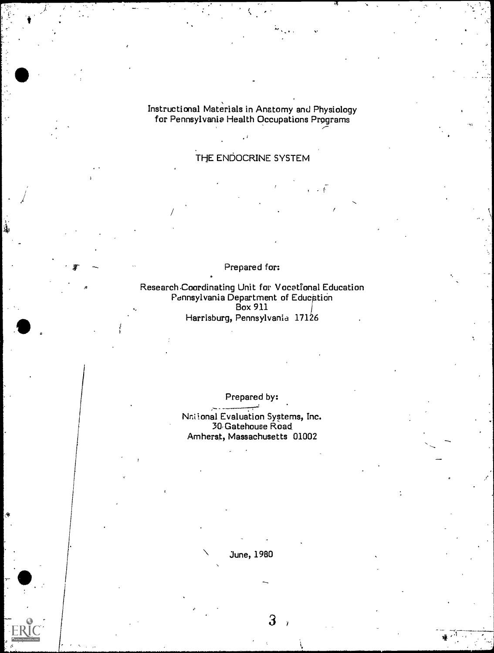Instructional Materials in Anatomy and Physiology for Pennsylvania Health Occupations Programs .--

to a state of the state of the state of the state of the state of the state of the state of the state of the s

## THE ENDOCRINE SYSTEM

/

Prepared for:

Research Coordinating Unit for Vocational Education Pennsylvania Department of Educptibn  $Box\ 911$ Harrisburg, Pennsylvania 17126

Prepared by:

Nni Iona! Evaluation Systems, Inc. 30, Gatehouse Road Amherst, Massachusetts 01002

.......;-=

\ June, 1980

 $3$  ,  $\qquad \qquad \Box$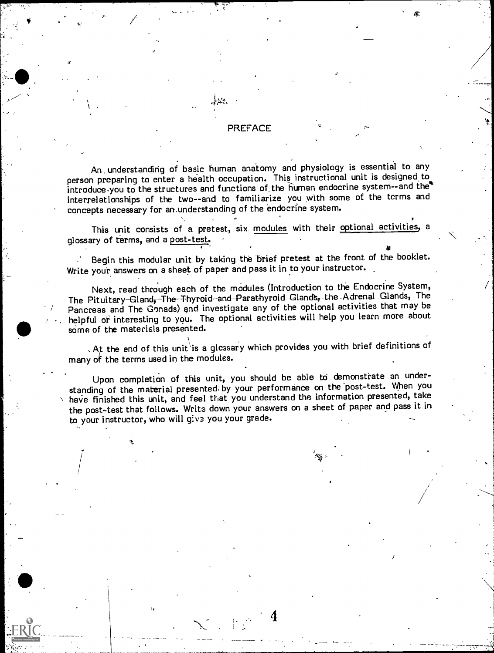#### PREFACE

An, understanding of basic human anatomy and physiology is essential to any person preparing to enter a health occupation. This instructional unit is designed, to introduce you to the structures and functions of the human endocrine system--and the\* interrelationships of the two--and to familiarize you with some of the terms and concepts necessary for ansunderstanding of the endocrine system.

This unit consists of a pretest, six modules with their optional activities, a glossary of terms, and a post-test.

Begin this modular unit by taking the 'brief pretest at the front of the booklet. Write your answers on a sheet of paper and pass it in to your instructor.

Next, read through each of the modules (Introduction to the Endocrine System, The Pituitary-Gland, The Thyroid-and-Parathyroid Glands, the Adrenal Glands, The. Pancreas and The Gonads) and investigate any of the optional activities that may be helpful or interesting to you. The optional activities will help you learn more about some of the materials presented.

. At the end of this unit is a glossary which provides you with brief definitions of many of the terms used in the modules.

Upon completion of this unit, you should be able to demonstrate an understanding of the material presented. by your performance on the 'post-test. When you have finished this unit, and feel that you understand the information presented, take the post-test that follows. Write down your answers on a sheet of paper and pass it in to your instructor, who will give you your grade.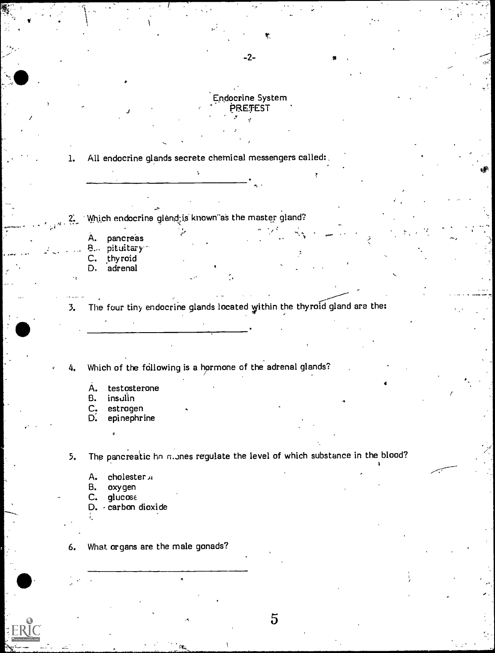

-2-

1. All endocrine glands secrete chemical messengers called:,

Which endocrine gland is known as the master gland?  $2.2$ 

- A. pancreas
- B. pituitary<sup>11</sup>
- C. thyroid D. adrenal
- 3. The four tiny endocrine glands located within the thyroid gland are the:

Which of the following is a hormone of the adrenal glands?

- A. testosterone<br>B. insulin
- 
- B. insulin<br>C. estroge<br>D. epineph estrogen
- epinephrine

5. The pancreatic ho mines regulate the level of which substance in the blood?

- A. cholester<sub>JA</sub><br>B. oxygen
- oxygen
- $C.$  glucose
- D. carbon dioxide
- 6. What organs are the male gonads?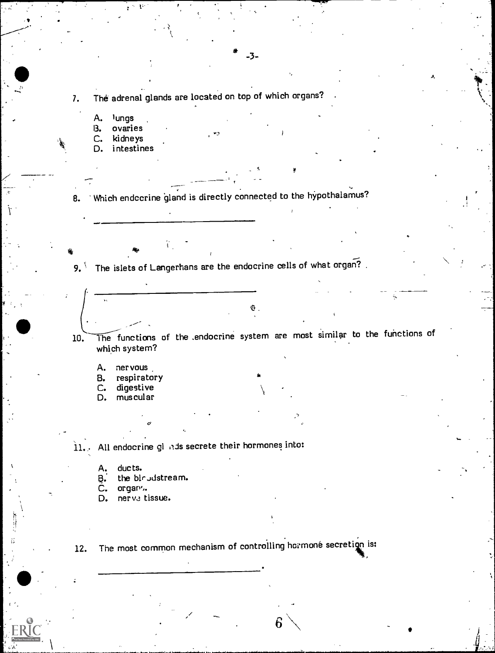7. The adrenal glands are located on top of which organs?

- A. lungs<br>B. ovarie
- B. ovaries<br>C. kidneys kidneys
- D. intestines

8. Which endccrine gland is directly connected to the hypothalamus?

9. The islets of Langerhans are the endocrine cells of what organ?.

10. The functions of the endocrine system are most similar to the functions of which system?

-3-

 $\mathcal{A}$  and  $\mathcal{A}$ 

A. nervous.<br>B. respirato

B. respiratory<br>C. digestive

C. digestive<br>D. muscular

muscular

11.. All endocrine gi 'ids secrete their hormones into:

 $\sigma$ 

A. ducts.

B.. the blrjdstream.

C. organ..

D. nerve tissue.

12. The most common mechanism of controlling hormone secretion is:

 $6 \searrow$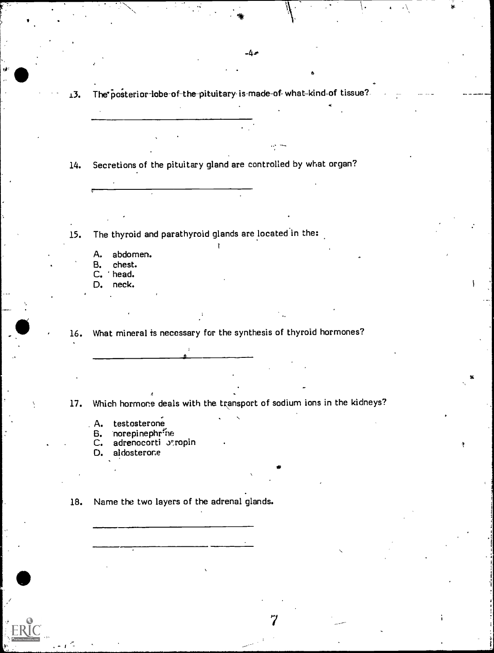13. The posterior-lobe-of-the-pituitary-is-made-of-what-kind-of tissue?

-4-0

6

1

..

- 14. Secretions of the pituitary gland are controlled by what organ?
- 15. The thyroid and parathyroid glands are located in the:
	- A. abdomen.<br>B. chest.
	- B. chest.
	- C. head.<br>D. neck.
	- neck.
- 16. What mineral is necessary for the synthesis of thyroid hormones?

I

17. Which hormone deals with the transport of sodium ions in the kidneys?

7

 $\mathcal{A}$  , and the set of  $\mathcal{A}$ 

- A. testosterone<br>B. norepinephri
- B. norepinephrine<br>C. adrenocorti Ju
- adrenocorti atropin
- D. aldosterone
- 18. Name the two layers of the adrenal glands.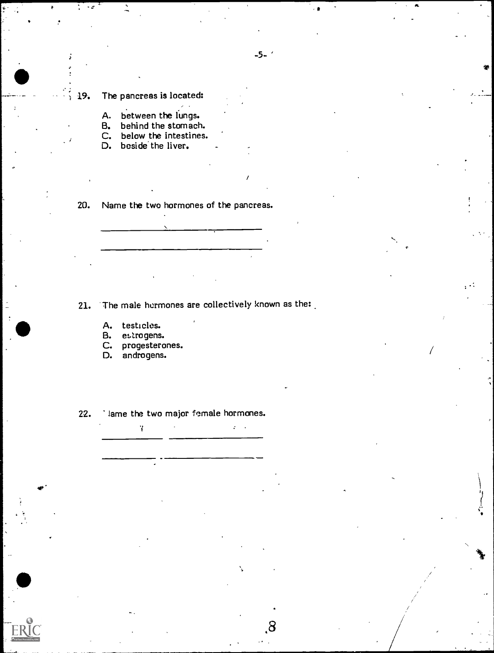## 19. The pancreas is located:

- A. between the lungs.
- B. behind the stomach.
- C. below the intestines.
- D. beside the liver.

20. Name the two hormones of the pancreas.

21. The male hormones are collectively known as the:

 $\mathcal{L}^{\text{max}}$ 

- A. testicles.<br>B. estrogens.
- B. estrogens.<br>C. progestero
- progesterones.

¥

D. androgens.

22. Iame the two major female hormones.

 $-5-$ 

/

,8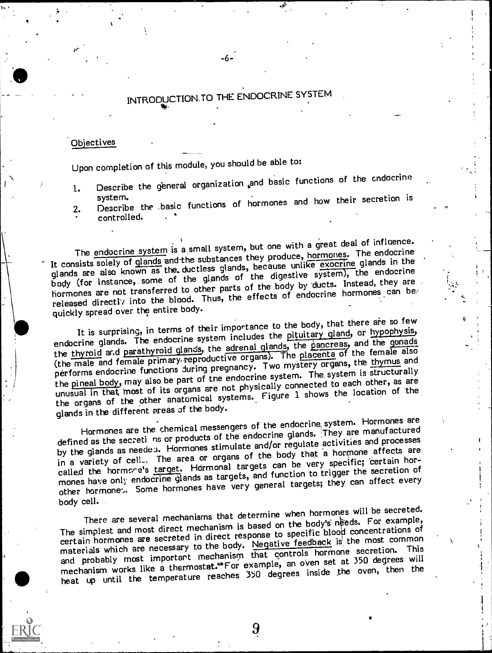## INTRODUCTION.TO THE ENDOCRINE SYSTEM

-۶.

#### Objectives

Upon completion of this module, you should be able to:

'143.

- 1. Describe the general organization and basic functions of the endocrine
- system. 2. Describe the .basic functions of hormones and how their secretion is controlled.

The endocrine system is a small system, but one with a great deal of influence. It consists solely of glands and the substances they produce, hormones. The endocrine glands are also known as the. ductless glands, because unlike exocrine glands in the body (for instance, some of the glands of the digestive system), the endocrine hormones are not transferred to other parts of the body by 'ducts. Instead, they are released directly into the blood. Thus, the effects of endocrine hormones can be quickly spread over the entire body.

It is surprising, in terms of their importance to the body, that there are so few endocrine glands. The endocrine system includes the pituitary gland, or hypophysis, the thyroid and parathyroid glands, the adrenal glands, the pancreas, and the gonads (the male and female primary-reproductive organs). The placenta of the female also performs endocrine functions during pregnancy. Two mystery organs, the thymus and the pineal body, may also be part of the endocrine system. The, system is structurally unusual in that Most of its organs are not physically connected to each other, as are the organs of the other anatomical systems. Figure 1 shows the location of 'the glands in the different areas of the body.

Hormones are the chemical messengers of the endocrine, system. Hormones are defined as the secreti ns or products of the endocrine glands. They are manufactured by the glands as needea. Hormones stimulate and/or regulate activities and processes in a variety of cell.. The area or organs of the body that a hormone affects are called the hormone's target. Hormonal targets can be very specific; certain hormones have only endocrine glands as targets, and function to trigger the secretion of other hormone). Some hormones have very general targets; they can affect every body cell.

There are several mechanisms that determine when hormones will be secreted. The simplest and most direct mechanism is based on the body's needs. For example, certain hormones are secreted in direct response to specific blood concentrations of materials which are necessary to the body. Negative feedback is the most common and probably most important mechanism that controls hormone secretion. This mechanism works like a thermostat.<sup>\*\*</sup>For example, an oven set at 350 degrees will heat up until the temperature reaches 350 degrees inside the oven, then the

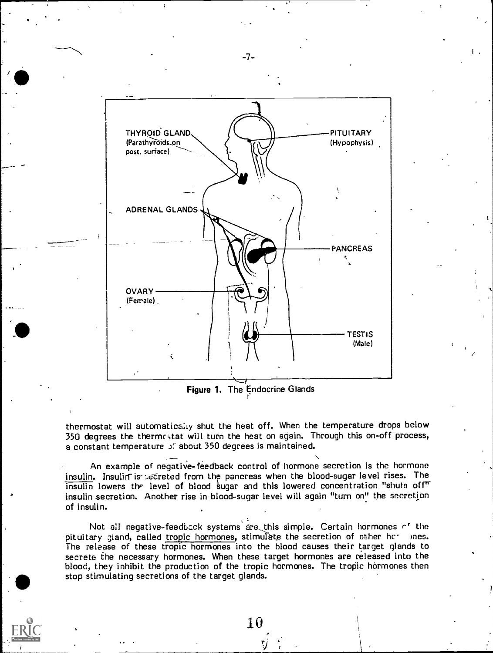

Figure 1. The Endocrine Glands t'

thermostat will automatically shut the heat off. When the temperature drops below 350 degrees the thermestat will turn the heat on again. Through this on-off process, a constant temperature *if* about 350 degrees is maintained.

An example of negative-feedback control of hormone secretion is the hormone insulin. Insulin is recreted from the pancreas when the blood-sugar level rises. The  $\overline{\text{insulin}}$  lowers the level of blood sugar and this lowered concentration "shuts off" insulin secretion. Another rise in blood-sugar level will again "turn on" the secretion of insulin.

Not all negative-feedback systems are this simple. Certain hormones of the pituitary gland, called tropic hormones, stimulate the secretion of other hc- mes. The release of these tropic hormones into the blood causes their target glands to secrete the necessary hormones. When these target hormones are released into the blood, they inhibit the production of the tropic hormones. The tropic hormones then stop stimulating secretions of the target glands.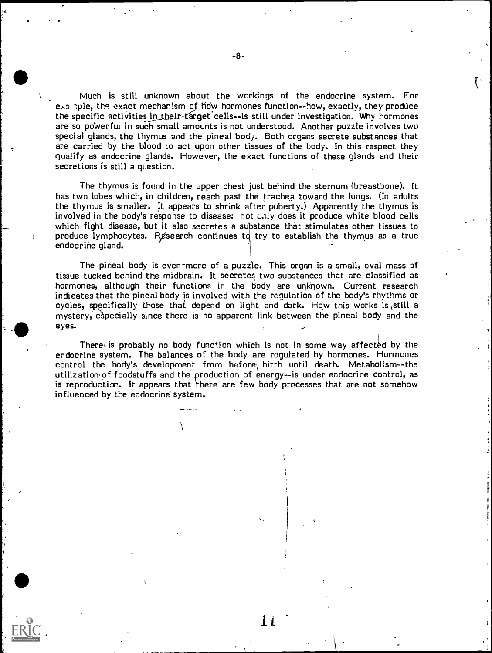Much is still unknown about the workings of the endocrine system. For exa tyle, the exact mechanism of how hormones function--how, exactly, they produce the specific activities in their-target cells--is still under investigation. Why hormones are so poWerfui in such small amounts is not understood. Another puzzle involves two special glands, the thymus end the pineal body. Both organs secrete substances that are carried by the blood to act upon other tissues of the body. In this respect they qualify as endocrine glands. However, the exact functions of these glands and their secretions is still a question.

The thymus is found in the upper chest just behind the sternum (breastbone). It has two lobes which, in children, reach past the trachea toward the lungs. (In adults the thymus is smaller. It appears to shrink after puberty.) Apparently the thymus is involved in the body's response to disease: not 6,4 y does it produce white blood cells which fight disease, but it also secretes a substance that stimulates other tissues to produce lymphocytes. Research continues to try to establish the thymus as a true endocrine gland.

The pineal body is even-more of a puzzle. This organ is a small, oval mass of tissue tucked behind the midbrain. It secretes two substances that are classified as hormones, although their functions in the body are unknown. Current research indicates that the pineal body is involved with the regulation of the body's rhythms or cycles, specifically those that depend on light and dark. How this works is ,still a mystery, especially since there is no apparent link between the pineal body and the eyes.

There is probably no body function which is not in some way affected by the endocrine system. The balances of the body are regulated by hormones. Hormones control the body's development from before\ birth until death. Metabolism--the utilization' of foodstuffs and the production of energy--is under endocrine control, as is reproduction. It appears that there are few body processes that are not somehow influenced by the endocrine system.

it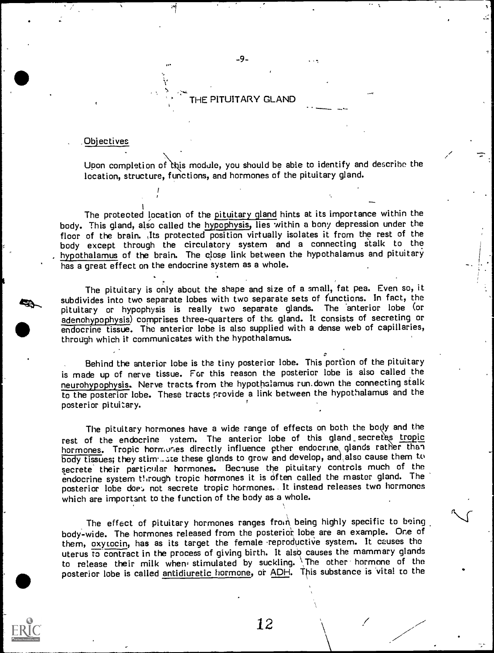#### THE PITUITARY GLAND

-9-

#### ,Ob'ectives

Upon completion of this module, you should be able to identify and describe the location, structure, functions, and hormones of the pituitary gland.

The protected location of the pituitary gland hints at its importance within the body. This gland, also called the hypophysis, lies within a bony depression under the floor of the brain. Its protected position virtually isolates it from the rest of the body except through the circulatory system and <sup>a</sup> connecting stalk to the hypothalamus of the brain. The close link between the hypothalamus and pituitary has a great effect on the endocrine system as a whole.

The pituitary is only about the shape and size of a small, fat pea. Even so, it subdivides into two separate lobes with two separate sets of functions. In fact, the pituitary or hypophysis is really two separate glands. The anterior lobe (or adenohypophysis) comprises three-quarters of the gland. It consists of secreting or endocrine tissue. The anterior lobe is also supplied with a dense web of capillaries, through which it communicates with the hypothalamus.

Behind the anterior lobe is the tiny posterior lobe. This portion of the pituitary is made up of nerve tissue. For this reason the posterior lobe is also called the neurohypophysis. Nerve tracts from the hypothalamus run. down the connecting stalk to the posterior lobe. These tracts provide a link between the hypothalamus and the posterior pituitary.

The pituitary hormones have a wide range of effects on both the bogy and the rest of the endocrine ystem. The anterior lobe of this gland secretes tropic hormones. Tropic hormones directly influence ether endocrine glands rather than body tissues; they stim...ate these glands to grow and develop, and also cause them to secrete their particular hormones. Because the pituitary controls much of the endocrine system through tropic hormones it is often called the master gland. The posterior lobe doe:, not secrete tropic hormones. It instead releases two hormones which are important to the function of the body as a whole.

The effect of pituitary hormones ranges from being highly specific to being body-wide. The hormones released from the posterior lobe are an example. One of them, oxytocin, has as its target the female reproductive system. It causes the uterus to contract in the process of giving birth. It also causes the mammary glands to release their milk when stimulated by suckling. The other hormone of the posterior lobe is called antidiuretic hormone, or ADH. This substance is vital to the

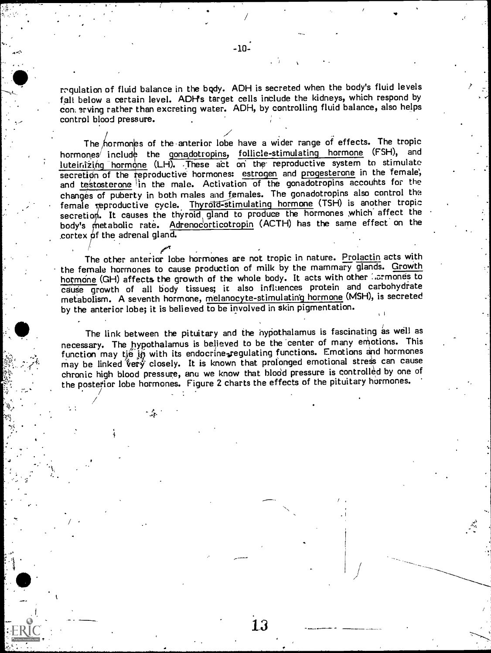mqulation of fluid balance in the bqdy. ADH is secreted when the body's fluid levels fall below a certain level. ADH's target cells include the kidneys, which respond by con. srving rather than excreting water. ADH, by controlling fluid balance, also helps control blood pressure.

The hormones of the anterior lobe have a wider range of effects. The tropic hormones include the gonadotropins, follicle-stimulating hormone (FSH), and luteinizing hormone (LH). These act on the reproductive system to stimulate secretion of the reproductive hormones: estrogen and progesterone in the female, and testosterone in the male. Activation of the gonadotropins accounts for the changes of puberty in both males and females. The gonadotropins also control the female reproductive cycle. Thyrotd-stimulating hormone (TSH) is another tropic secretion. It causes the thyroid gland to produce the hormones which affect the body's metabolic rate. Adrenocorticotropin (ACTH) has the same effect on the cortex of the adrenal gland.

The other anterior lobe hormones are not tropic in nature. Prolactin acts with the female hormones to cause production of milk by the mammary glands. Growth hormone (GH) affects the growth of the whole body. It acts with other rarmones to cause growth of all body tissues; it also influences protein and carbohydrate metabolism. A seventh hormone, melanocyte-stimulating hormone (MSH), is secreted by the anterior lobe; it is believed to be involved in skin pigmentation.

The link between the pituitary and the nypothalamus is fascinating as well as necessary. The hypothalamus is believed to be the center of many emotions. This function may tie in with its endocrine regulating functions. Emotions and hormones may be linked very closely. It is known that prolonged emotional stress can cause chronic high blood pressure, anu we know that blood pressure is controlled by one of the posterior lobe hormones. Figure 2 charts the effects of the pituitary hormones.

- 1

1.3

0,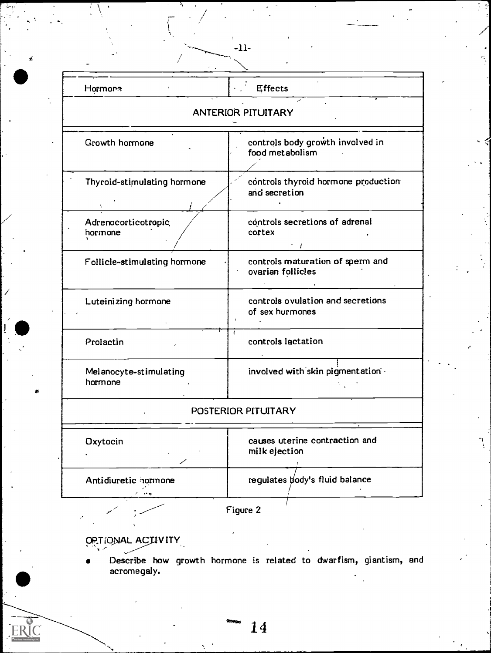| Hormone                           | $\cdot$ Effects                                       |
|-----------------------------------|-------------------------------------------------------|
|                                   | <b>ANTERIOR PITUITARY</b>                             |
| Growth hormone                    | controls body growth involved in<br>food metabolism   |
| Thyroid-stimulating hormone       | controls thyroid hormone production<br>and secretion  |
| Adrenocorticotropic<br>hormone    | controls secretions of adrenal<br>cortex              |
| Follicle-stimulating hormone      | controls maturation of sperm and<br>ovarian follicles |
| Luteinizing hormone               | controls ovulation and secretions<br>of sex hurmones  |
| Prolactin                         | controls lactation                                    |
| Melanocyte-stimulating<br>hormone | involved with skin pigmentation .                     |
|                                   | POSTERIOR PITUITARY                                   |
| Oxytocin                          | causes uterine contraction and<br>milk ejection       |
| Antidiuretic hormone<br>** C      | requiates body's fluid balance                        |
|                                   | Figure 2                                              |

 $-11-$ 

OP.TIONAL ACTIVITY  $\epsilon_{\rm max}$ 

Describe how growth hormone is related to dwarfism, giantism, and  $\hspace{1cm}$ acromegaly.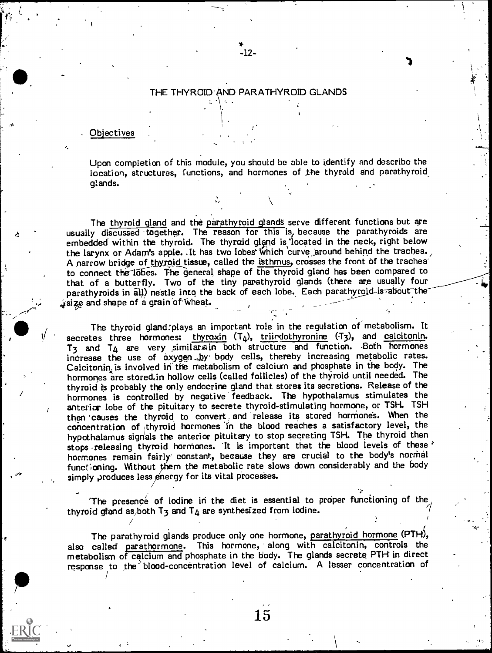### THE THYROID AND PARATHYROID GLANDS

-12-

I)

#### . Objectives

Upon completion of this module, you should he able to identify and describe the location, structures, functions, and hormones of the thyroid and parathyroid glands.

The thyroid gland and the parathyroid glands serve different functions but are usually discussed together. The reason for this is, because the parathyroids are embedded within the thyroid. The thyroid gland is located in the neck, right below the larynx or Adam's apple. It has two lobes which curve around behind the trachea. A narrow bridge of thyroid tissue, called the isthmus, crosses the front of the trachea to connect the lobes. The general shape of the thyroid gland has been compared to that of a butterfly. Two of the tiny parathyroid glands (there are usually four parathyroids in all) nestle into the back of each lobe. Each parathyroid-is-about the , size and shape of a grain of wheat.

The thyroid gland:plays an important role in the regulation of metabolism. It secretes three hormones: thyroxin  $(T<sub>4</sub>)$ , triindothyronine  $(T<sub>3</sub>)$ , and calcitonin.  $T_3$  and  $T_4$  are very similar in both structure and function. Both hormones increase the use of oxygen.,by body cells, thereby increasing metabolic rates.<br>Calcitonin is involved in the metabolism of calcium and phosphate in the body. The hormones are stored.in hollow cells (called follicles) of the thyroid until needed. The thyroid is probably the only endocrine gland that stores its secretions. Release of the hormones is controlled by negative feedback. The hypothalamus stimulates the anterior lobe of the pituitary to secrete thyroid-stimulating hormone, or TSH. TSH then causes the thyroid to convert and release its stored hormones. When the concentration of thyroid hormones in the blood reaches a satisfactory level, the hypothalamus signals the anterior pituitary to stop secreting TSH. The thyroid then stops releasing thyroid hormones. It is important that the blood levels of these <sup>2</sup> hormones remain fairly constant, because they are crucial to the body's normal functioning. Without them the metabolic rate slows down considerably and the body simply produces less energy for its vital processes.

The presence of iodine in the diet is essential to proper functioning of the thyroid gland as both T3 and T4 are synthesized from iodine.  $\sim$  7 and 7  $\sim$  7 and 7  $\sim$  7 and 7  $\sim$  7 and 7  $\sim$  7 and 7  $\sim$  7 and 7  $\sim$  7 and 7  $\sim$  7 and 7  $\sim$  7 and 7  $\sim$  7 and 7  $\sim$  7 and 7  $\sim$  7 and 7  $\sim$ /<br>/

The parathyroid glands produce only one hormone, parathyroid hormone (PTH), also called parathormone. This hormone, along with calcitonin, controls the metabolism of calcium and phosphate in the body. The glands secrete PTH in direct response to the blood-concentration level of calcium. A lesser concentration of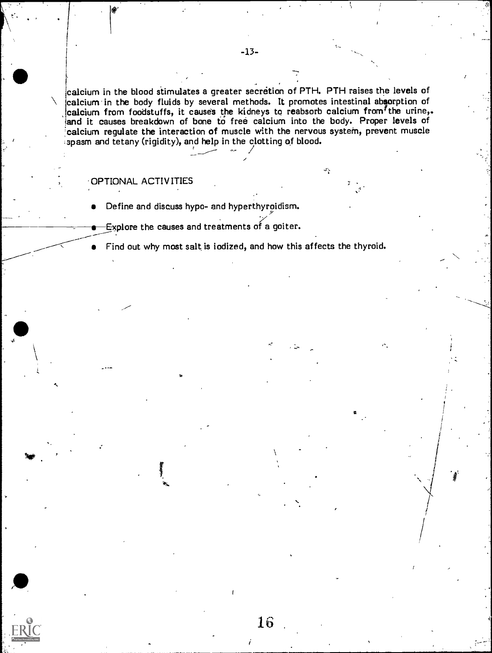-13-

calcium in the blood stimulates a greater secretion of PTH. PTH raises the levels of calcium in the body fluids by several methods. It promotes intestinal absorption of calcium from foodstuffs, it causes the kidneys to rea and it causes breakdown of bone to free calcium into the body. Proper levels of calcium regulate the interaction of muscle with the nervous system, prevent muscle spasm and tetany (rigidity), and help in the clotting of blood.

value of the control of the control of

44, 1990

#### OPTIONAL ACTIVITIES

- Define and discuss hypo- and hyperthyroidism.
- Explore the causes and treatments of a goiter.

Find out why most salt is iodized, and how this affects the thyroid.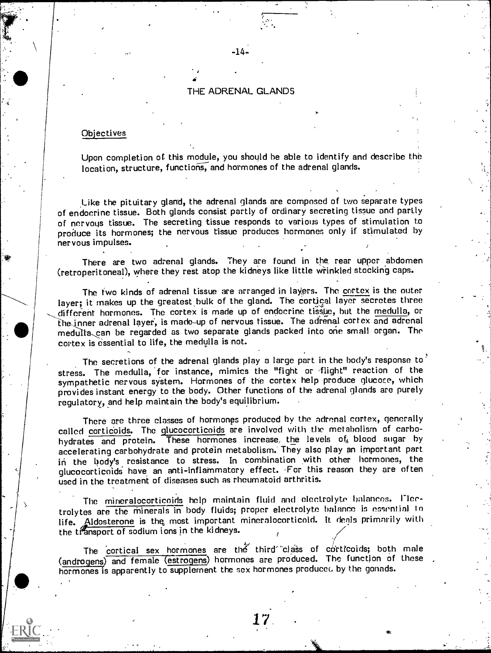#### THE ADRENAL GLANDS

 $-14-$ 

#### **Objectives**

Upon completion of this module, you should be able to identify and describe the location, structure, functions, and hormones of the adrenal glands.

Like the pituitary gland, the adrenal glands are composed of two separate types of endocrine tissue. Both glands consist partly of ordinary secreting tissue and partly of nervous tissue. The secreting tissue responds to various types of stimulation to produce its hormones; the nervous tissue produces hormones only if stimulated by nervous impulses.

There are two adrenal glands. They are found in the rear upper abdomen (retroperitoneal), where they rest atop the kidneys like little wrinkled stocking caps.

The two kinds of adrenal tissue are arranged in layers. The cortex is the outer layer; it makes up the greatest bulk of the gland. The cortical layer secretes three different hormones. The cortex is made up of endocrine tissue, but the medulla, or the inner adrenal layer, is made-up of nervous tissue. The adrenal cortex and adrenal medulla, can be regarded as two separate glands packed into one small organ. The cortex is essential to life, the medulla is not.

The secretions of the adrenal glands play a large part in the body's response to stress. The medulla, for instance, mimics the "fight or flight" reaction of the sympathetic nervous system. Hormones of the cortex help produce glucose, which provides instant energy to the body. Other functions of the adrenal glands are purely regulatory, and help maintain the body's equilibrium.

There are three classes of hormones produced by the adrenal cortex, generally called corticoids. The qlucocorticoids are involved with the metabolism of carbohydrates and protein. These hormones increase, the levels of blood sugar by accelerating carbohydrate and protein metabolism. They also play an important part in the body's resistance to stress. In combination with other hormones, the glucocorticoids have an anti-inflammatory effect. For this reason they are often used in the treatment of diseases such as rheumatoid arthritis.

The mineralocorticoids help maintain fluid and electrolyte balances. l'Icetrolytes are the Minerals in body fluids; proper electrolyte balance is essential to life. Aldosterone is the most important mineralocorticoid. It deals primarily with the transport of sodium ions in the kidneys.

The cortical sex hormones are the third class of corticoids; both male (androgens) and female (estrogens) hormones are produced. The function of these hormones is apparently to supplement the sex hormones produced by the gonads.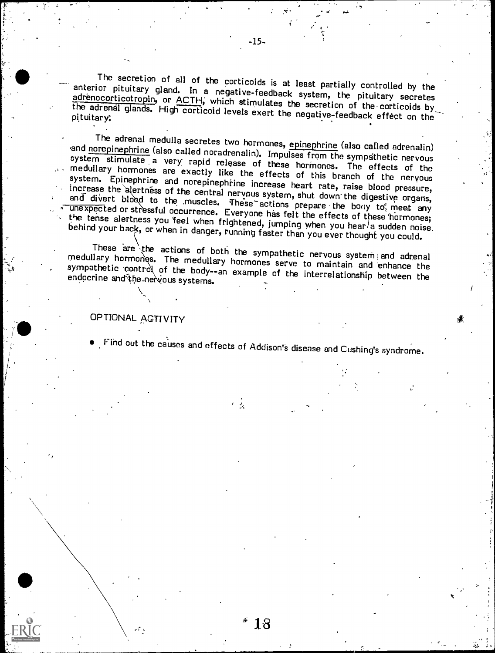The secretion of all of the corticoids is at least partially controlled by the anterior pituitary gland. In a negative-feedback system, the pituitary secretes adrenocorticotropin, or ACTH, which stimulates the secretion of the adrenal glands. High corticoid levels exert the negative-feedback effect on the

The adrenal medulla secretes two hormones, epinephrine (also called adrenalin)<br>and norepinephrine (also called noradrenalin). Impulses from the sympathetic nervous<br>system stimulate a very rapid release of these hormones. T increase the alertness of the central nervous system, shut down the digestive organs, and divert blood to the .muscles. These actions prepare the bony to meet any unexpected or stressful occurrence. Everyone has felt the e the tense alertness you feel when frightened, jumping when you hear a sudden noise.<br>behind your back, or when in danger, running faster than you ever thought you could.

These are the actions of both the sympathetic nervous system; and adrenal medullary hormones serve to maintain and enhance the sympathetic control of the body--an example of the interrelationship between the endocrine and the nervous systems.

## OPTIONAL ACTIVITY

Find out the causes and effects of Addison's disease and Cushing's syndrome.

 $\epsilon = \frac{1}{2\pi}$ 

"'13

.0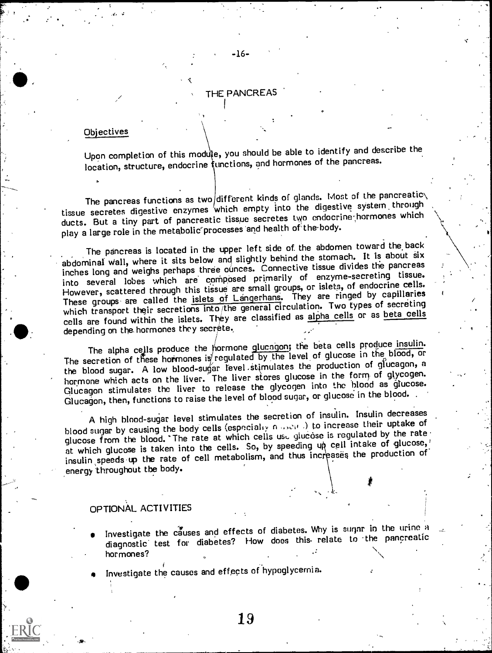## THE PANCREAS

-16-

#### **Objectives**

Upon completion of this module, you should be able to identify and describe the location, structure, endocrine functions, and hormones of the pancreas.

The pancreas functions as two different kinds of glands. Most of the pancreatic $\setminus$ tissue secretes digestive enzymes /which empty into the digestive system, through ducts. But a tiny part of pancreatic tissue secretes two endocrine-hormones which play a large role in the metabolic processes and health of the body.

The pancreas is located in the upper left side of the abdomen toward the back abdominal wall, where it sits below and slightly behind the stomach. It is about six inches long and weighs perhaps three ounces. Connective tissue divides the pancreas into several lobes which are corriposed primarily of enzyme-secreting tissue. However, scattered through this tissue are small groups, or islets, of endocrine cells. These groups are called the islets of Langerhans. They are ringed by capillaries which transport their secretions into the general circulation. Two types of secreting cells are found within the islets. They are classified as alpha cells or as beta cells depending on the hormones they secrete.

The alpha cells produce the  $ho$ rmone glucagon; the beta cells produce insulin. The secretion of these hormones is regulated by the level of glucose in the blood, or the blood sugar. A low blood-sugar fevel stimulates the production of glucagon, a hormone which acts on the liver. The liver stores glucose in the form, of glycogen. Glucagon stimulates the liver to release the glycogen into the blood as glucose. Glucagon, then, functions to raise the level of blood sugar, or glucose in the blood.

A high blood-sugar level stimulates the secretion of insulin. Insulin decreases blood sugar by causing the body cells (especially no set b) to increase their uptake of glucose from the blood. The rate at which cells us. glucose is regulated by the rate at which glucose is taken into the cells. So, by speeding up cell intake of glucose, insulin speeds up the rate of cell metabolism, and thus increases the production of energy throughout the body.

#### OPTIONAL ACTIVITIES

Investigate the causes and effects of diabetes. Why is sugar in the urine a diagnostic' test for diabetes? How does this- relate to -the pancreatic  $h$ ormones?

f .. Investigate the causes and effects of hypoglycemia.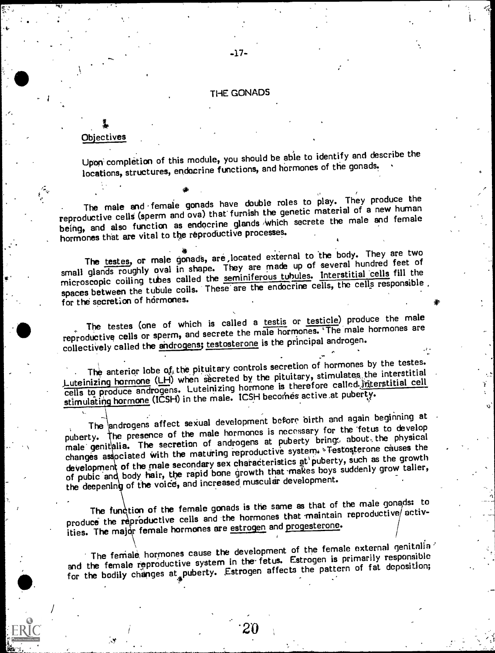## **THE GONADS**

-17-

#### **Objectives**

Upon' completion of this module, you should be able to identify and describe the locations, structures, endocrine functions, and hormones of the gonads.

The male and female gonads have double roles to play. They produce the reproductive cells (sperm and ova) that furnish the genetic material of a new human being, and also function as endocrine glands 'Which secrete the male and female hormones that are vital to the reproductive processes.

The testes, or male gonads, are ,located external to the body. They are two small glands roughly oval in shape. They are made up of several hundred feet of microscopic coiling tubes called the seminiferous tubules. Interstitial cells fill the spaces between the tubule coils. These are the endocrine cells, the cells responsible. for the secretion of hormones.

The testes (one of which is called a testis or testicle) produce the male reproductive cells or sperm, and secrete the male hormones. The male hormones are collectively called the androgens; testosterone is the principal androgen.

The anterior lobe of the pituitary controls secretion of hormones by the testes. Luteinizing hormone (LH) when secreted by the pituitary, stimulates the interstitial cells to produce androgens. Luteinizing hormone is therefore called interstitial cell stimulating hormone (ICSH) in the male. ICSH becomes active at puberty.

The androgens affect sexual development before oirth and again beginning at puberty. The presence of the male hormones is necessary for the fetus to develop male genitalia. The secretion of androgens at puberty bring. about the physical changes associated with the maturing reproductive system. Festosterone causes the development of the male secondary sex characteristics at puberty, such as the growth of pubic and body hair, the rapid bone growth that makes boys suddenly grow taller, the deepening of the voice, and increased muscular development.

The fund tion of the female gonads is the same as that of the male gonads: to produce the reproductive cells and the hormones that maintain reproductive activities. The major female hormones are estrogen and progesterone.

The female hormones cause the development of the female external genitalia. and the female reproductive system in the fetus. Estrogen is primarily responsible for the bodily changes at puberty. Estrogen affects the pattern of fat deposition;

\*20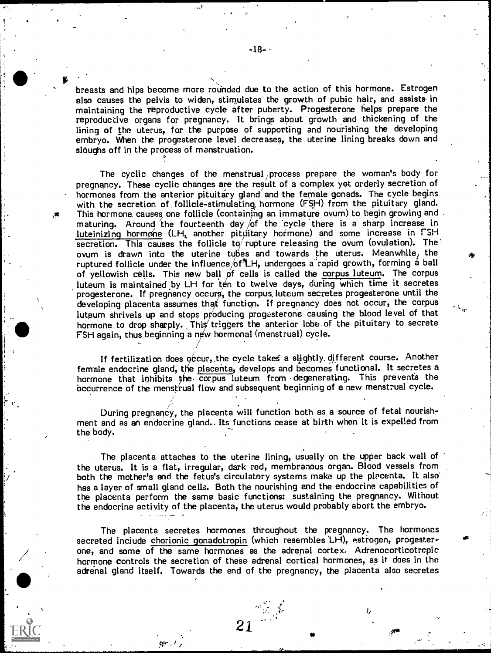breasts and hips become more rounded due to the action of this hormone. Estrogen also causes the pelvis to widen, stimulates the growth of pubic hair, and assists in maintaining the reproductive cycle after puberty. Progesterone helps prepare the reproductive organs for pregnancy. It brings about growth and thickening of the lining of the uterus, for the purpose of supporting and nourishing the developing embryo. When the progesterone level decreases, the uterine lining breaks down and sloughs off in the process of menstruation.

The cyclic changes of the menstrual process prepare the woman's body for pregnancy. These cyclic changes are the result of a complex yet orderly secretion of hormones from the anterior pituitary gland and the female gonads. The cycle begins with the secretion of follicle-stimulating, hormone (FSH) from the pituitary gland. This hormone. causes one follicle (containing an immature ovum) to begin growing and maturing. Around the fourteenth day  $/$ of the cycle there is a sharp increase in luteinizing hormone (LH, another pituitany hormone) and some increase in FSH secretion. This causes the follicle to rupture releasing the ovum (ovulation). The ovum is drawn into the uterine tubes and towards the uterus. Meanwhile: the ruptured follicle under the influence  $/6$ <sup>\*</sup>LH, undergoes a<sup>2</sup>rapid growth, forming a ball of yellowish cells. This new ball pf cells is called the corpus luteum. The corpus luteum is maintained by LH for ten to twelve days, during which time it secretes progesterone. If pregnancy occurs, the corpus luteum secretes progesterone until the developing placenta assumes that function. If pregnancy does not occur, the corpus luteum shrivels up and stops producing progesterone causing the blood level of that hormone to drop sharply. This triggers the anterior lobe of the pituitary to secrete FSH again, thus beginning a new hormonal (menstrual) cycle.

If fertilization does occur, the cycle takes a slightly different course. Another female endocrine gland, the placenta, develops and becomes functional. It secretes a hormone that inhibits the corpus luteum from degenerating. This prevents the occurrence of the menstrual flow and subsequent beginning of a new menstrual cycle.

During pregnancy, the placenta will function both as a source of fetal nourishment and as an endocrine gland.. Its functions cease at birth when it is expelled from the body.

The placenta attaches to the uterine lining, usually on the upper back wall of the uterus. It is a flat, irregular, dark red, membranous organ. Blood vessels from both the mother's and the fetus's circulatory systems make up the placenta. It also has a layer of small gland cells. Both the nourishing and the endocrine capabilities of the placenta perform the same basic functions: sustaining the pregnancy. Without the endocrine activity of the placenta, the uterus would probably abort the embryo.

The placenta secretes hormones throughout the pregnancy. The hormones secreted inciude chorionie gonadotropin (which resembles 'LH), estrogen, progesterone, and some of the same hormones as the adrenal cortex. Adrenocorticotrcpic hormone controls the secretion of these adrenal cortical hormones, as it does in the adrenal gland itself. Towards the end of the pregnancy, the placenta also secretes

tin je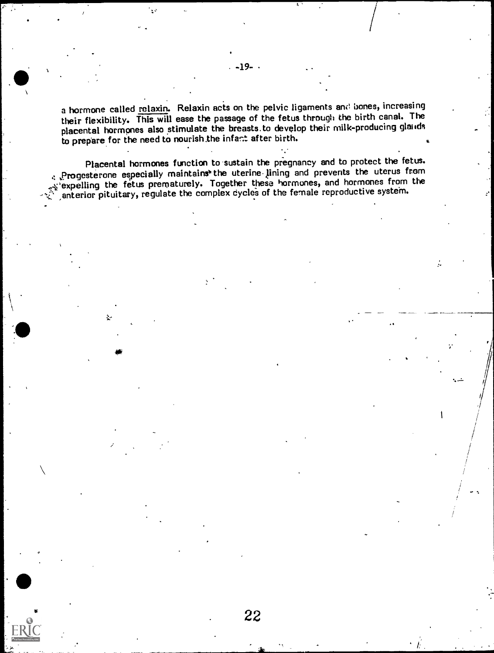a hormone called relaxin. Relaxin acts on the pelvic ligaments and bones, increasing their flexibility. This will ease the passage of the fetus through the birth canal. The placental hormones also stimulate the breasts. to develop their milk-producing glands to prepare for the need to nourish the infant after birth.

Placental hormones function to sustain the pregnancy and to protect the fetus. . Progesterone especially maintains the uterine lining and prevents the uterus from ... 'expelling the fetus prematurely. Together these hormones, and hormones from the anterior pituitary, regulate the complex cycles of the female reproductive system.

22

 $\int$ 

...,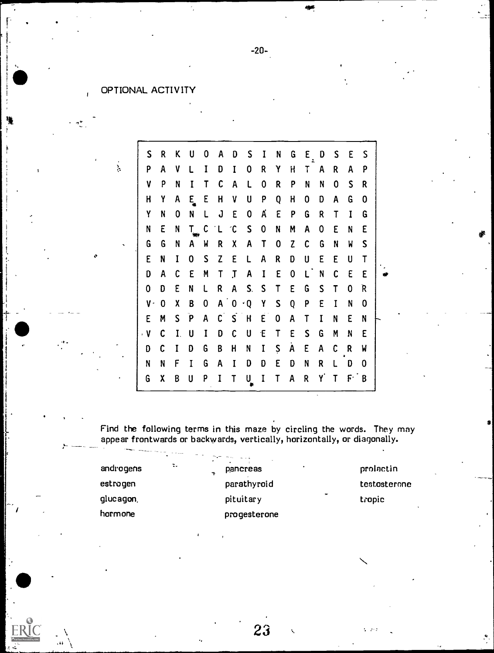## OPTIONAL ACTIVITY

a

 $\mathcal{E}$ 

 $\overline{1}$ 

| S                    | R | K  |                    | 0 | A            | D                       | S           |   | N | G | Ε | D  | S | E     | S |
|----------------------|---|----|--------------------|---|--------------|-------------------------|-------------|---|---|---|---|----|---|-------|---|
| P                    | A | ٧  |                    |   | D            |                         | 0           | R | Υ | Н | T | A  | R | A     | P |
| ٧                    | P | N  |                    |   | C            | A                       |             | 0 | R | P | N | N  | 0 | S.    | R |
| H                    | Y | A  | E.                 | E | H            | ٧                       | U           | p | Q | H | 0 | D  | A | G     | 0 |
| Y                    | N | 0  | N                  |   | J            | E                       | 0           | A | E | P | G | R  | T | I     | G |
| N                    | E | N  | $\mathsf T_-$      | C | ΊL           | $\hat{c}$               | $\mathsf S$ | 0 | N | M | A | 0  | E | N     | E |
| G                    | G | N  | A                  | W | R            | χ                       | A           |   | 0 | Z | C | G  | N | W     | S |
| E                    | N | I  | $\bf{0}$           | S | Z            | E                       |             | A | R | D | U | E  | E | U     | T |
| D                    | A | C  | E                  | M | T            |                         | A           | I | E | 0 |   | N  | C | E     | E |
| 0                    | D | Ε  | N                  |   | R            | A                       | S.          | S | Τ | E | G | S  | Τ | 0     | R |
| $\pmb{\mathsf{V}}$ - | 0 | Χ  | B                  | 0 | $\mathsf{A}$ | $\boldsymbol{0}$        | $\cdot$ Q   | Y | S | Q | P | E  | I | N     | 0 |
| E                    | M | S. | $\mathbf{\bar{p}}$ | A | $\mathsf{C}$ | $\overline{\mathsf{S}}$ | H           | E | 0 | A | T | I  | N | E     | N |
| $\cdot$ V            | C |    | U                  |   | D            | C                       | U           | Έ | T | E | S | G  | M | N     | E |
| D                    | C |    | D                  | G | B            | H                       | N           | I | Ş | A | Ε | A  | C | R     | W |
| N                    | N | F  | I                  | G | A            |                         | D           | D | E | D | N | R  |   | D     | 0 |
| G                    | χ | B  | U                  | P |              |                         | U           |   |   | A | R | Y. | T | $F^+$ | B |

Find the following terms in this maze by circling the words. They may appear frontwards or backwards, vertically, horizontally, or diagonally.

23

 $\sim$   $\sim$ 

| androgens | --<br>$\overline{\phantom{a}}$<br>τ. | <b>Contract Contract Contract</b><br>٠.<br>٠<br>pancreas |        | prolactin    |
|-----------|--------------------------------------|----------------------------------------------------------|--------|--------------|
| estrogen  |                                      | parathyroid                                              |        | testosterone |
| glucagon, |                                      | pituitary                                                | $\sim$ | tropic       |
| hormone   |                                      | progesterone                                             |        |              |

-20-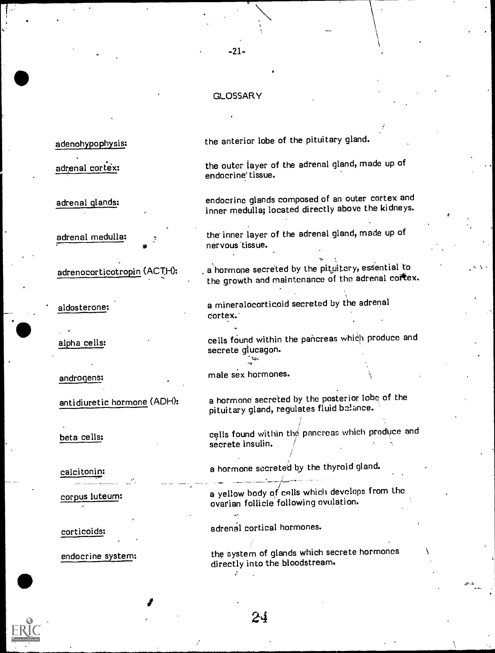#### GLOSSARY

-21-

adenohypophysis:

adrenal cortex:

adrenal glands:

adrenal medulla:

adrenocorticotropin (ACTH):

corticoids: adrenal cortical hormones.

the anterior lobe of the pituitary gland.

the outer layer of the adrenal gland, made up of endocrine' tissue.

endocrine glands composed of an outer cortex and inner medulla; located directly above the kidneys.

the inner layer of the adrenal gland, made up of nervous tissue.

a hormone secreted by the pituitary, essential to the growth and maintenance of the adrenal cortex.

aldosterone: <br>a mineralocorticoid secreted by the adrenal cortex.

alpha cells: ether cells found within the pancreas which produce and secrete glucagon.

androgens: male sex hormones.

antidiuretic hormone (ADH): a hormone secreted by the posterior lobe of the pituitary gland, regulates fluid belance.

beta cells: ether cells found within the pancreas which produce and secrete insulin.

calcitonin: a hormone secreted by the thyroid gland.

/

corpus luteum:  $\overline{a}$  a yellow body of cells which develops from the ovatian follicle following ovulation.

endocrine system: the system of glands which secrete hormones directly into the bloodstream.

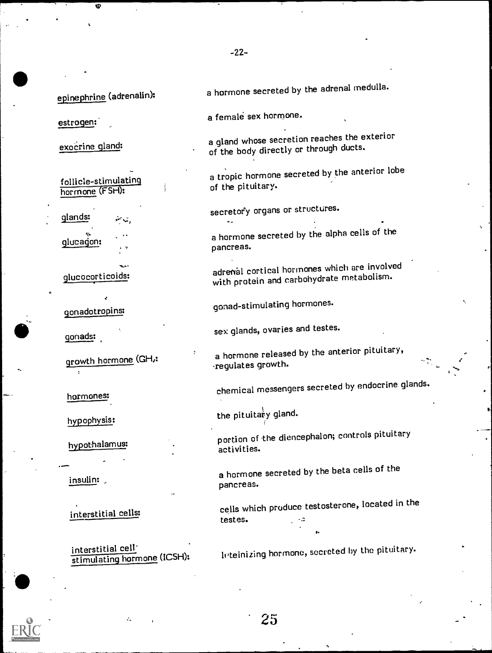epinephrine (adrenalin):

estrogen:

exocrine gland:

follicle-stimulating hormone (FSH):

glands: secretory organs or structures.

interstitial cell<sup>-</sup><br>stimulating hormone (ICSH):

a hormone secreted by the adrenal medulla.

a female sex hormone.

a gland whose secretion reaches the exterior of the body directly or through ducts.

a tropic hormone secreted by the anterior lobe<br>of the pituitary.

glucagon:  $\overline{a}$  a hormone secreted by the alpha cells of the pancreas.

glucocorticoids: adrenal cortical hormones which are involved<br>with protein and carbohydrate metabolism.

gonadotropins: gonad-stimulating hormones.

gonads: sex glands, ovaries and testes.

growth hormone (GH,:<br>couldtes enouth. regulates growth.

hormones: chemical messengers secreted by endocrine glands.

hypophysis:  $\qquad \qquad \qquad \qquad$  the pituita $\frac{1}{y}$  gland.

25

hypothalamus: portion of the diencephalon; controls pituitary activities.

insulin: a hormone secreted by the beta cells of the insulin: pancreas.

interstitial cells: cells which produce testosterone, located in the testes.

luteinizing hormone, secreted by the pituitary.

eh,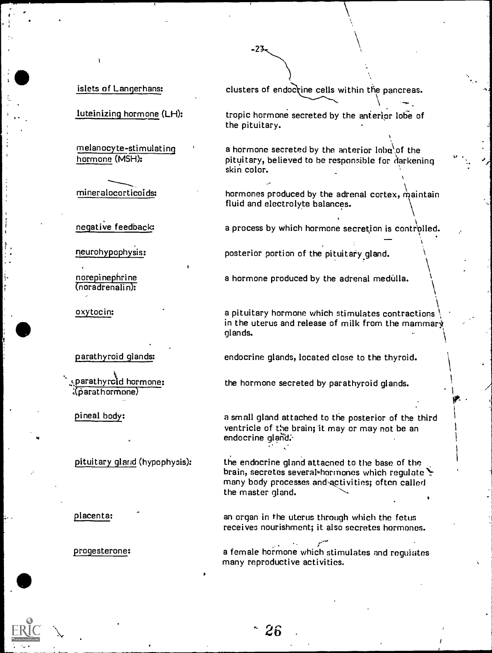luteinizing hormone (LH):

melanocyte-stimulating ' hormone (MSH):

ml neralocorticoids:

negative feedback:

neurohypophysis:

norepinephrine (noradrenali n):

oxytocin:

parathyroid glands:

parathyroid hormone: Xparathormone)

pineal body:

pituitary gland (hypophysis):

placenta:

progesterone:

islets of Langerhans: clusters of endoctine cells within the pancreas.

tropic hormone secreted by the anterior lobe of the pituitary.

a hormone secreted by the anterior  $\text{lobe}$  of the pituitary, believed to be responsible for darkening skin color.

 $\mathcal{Q}(\mathcal{A}_1)$ 

A

hormones produced by the adrenal cortex maintain fluid and electrolyte balances.

a process by which hormone secretion is controlled.

posterior portion of the pituitary gland.

a hormone produced by the adrenal medulla.

a pituitary hormone which stimulates contractions in the uterus and release of milk from the mammary glands.

endocrine glands, located close to the thyroid.

the hormone secreted by parathyroid glands.

a small gland attached to the posterior of the third ventricle of the brain; it may or may not be an endocrine gland:

the endocrine gland attacned to the base of the brain, secretes several hormones which regulate many body processes and activities; often called the master gland.

an organ in the uterus through which he fetus receives nourishment; it also ecretes hormones.

a female horm one which stimulates and regulates many r .productive activities.

 $26$ 

#### $-23-$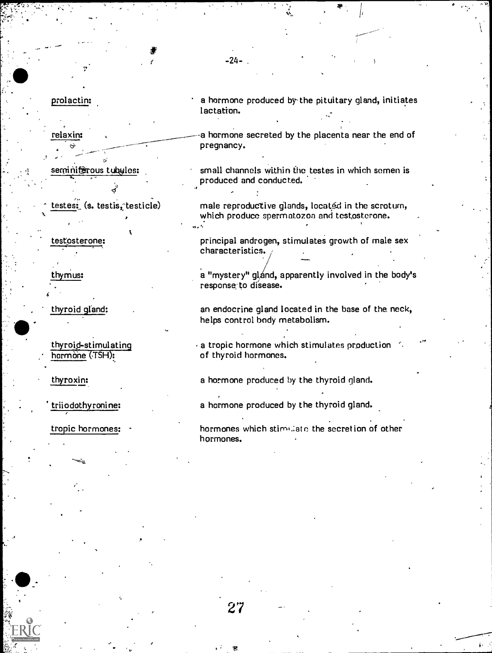relaxin:

seminiferous tubyles:

 $\textsf{tests:}$  (s. testis, testicle)

testosterone:

thymus:

thyroid gland:

thyroid-stimulating hormone (TSH):

thyroxin:

triiodothyronine:

tropic hormones:

prolactin: a hormone produced by-the pituitary gland, initiates lactation.

-24-

-a hormone secreted by the placenta near the end of pregnancy.

small channels within the testes in which semen is produced and conducted.

male reproductive glands, located in the scrotum, which produce spermatozoa and testosterone.

principal androgen, stimulates growth of male sex characteristics. ,

a "mystery" gland, apparently involved in the body's response- to disease.

an endocrine gland located in the base of the neck, helps control body metabolism.

 $\cdot$  a tropic hormone which stimulates production. of thyroid hormones.

a hormone produced by the thyroid gland.

a hormone produced by the thyroid gland.

hormones which stimulate the secretion of other hormones.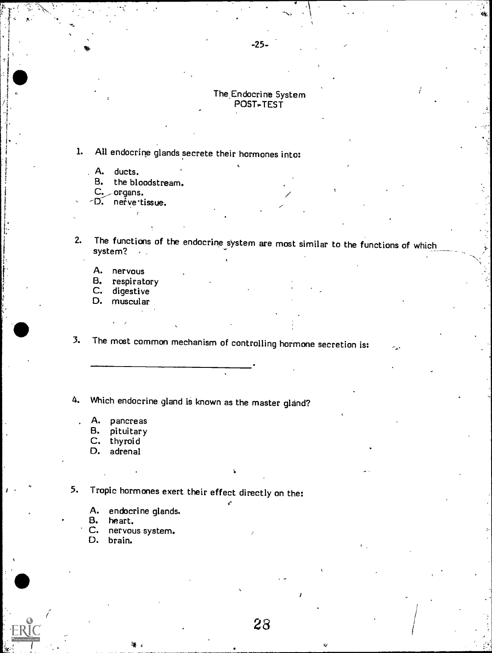#### The,Endocrine System POST-TEST

## 1. All endocrine glands secrete their hormones into:

- A. ducts.<br>B. the blo
- the bloodstream.
- $C_{\bullet}$  or gans.
- D. nerve tissue.
- 2. The functions of the endocrine system are most similar to the functions of which system?

28

- A. nervous<br>B. respirat
- B. respiratory<br>C. digestive
- C. digestive<br>D. muscular
- muscular

3. The most common mechanism of controlling hormone secretion is:

4. Which endocrine gland is known as the master gland?

- A. pancreas
- B. pituitary<br>C. thyroid<br>D. adrenal
- 
- adrenal

5. Tropic hormones exert their effect directly on the:

- A. endocrine glands.<br>B. heart.
- 
- B. heart.<br>C. nervou C. nervous system.<br>D. brain.
- D. brain.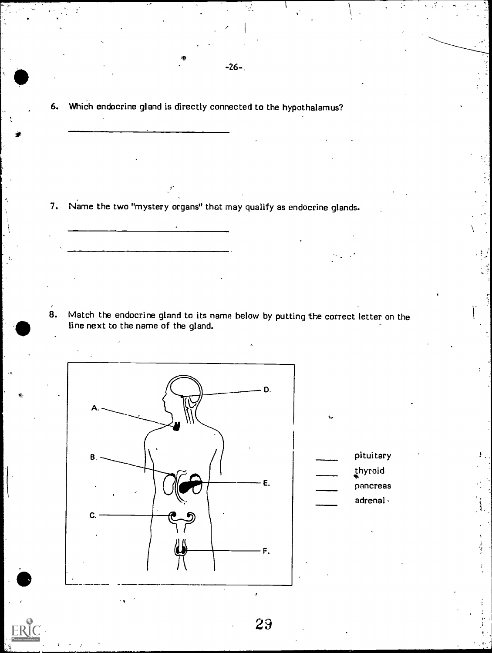6. Which endocrine gland is directly connected to the hypothalamus?

-26-.

7. Name the two "mystery organs" that may qualify as endocrine glands.

8. Match the endocrine gland to its name below by putting the correct letter on the line next to the name of the gland.



pituitary thyroid pancreas adrenal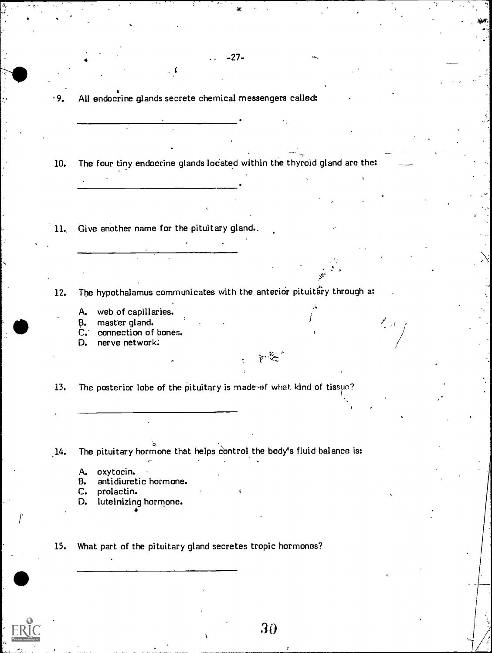-9. All endocrine glands secrete chemical messengers called:

 $\bullet$  -27-

10. The four tiny endocrine glands located within the thyroid gland are the:

11.. Give another name for the pituitary gland..

12. The hypothalamus communicates with the anterior pituitary through a:

 $\sum_{i=1}^{N}$ 

- A. web of capillaries.
- B. master gland.

C. connection of bones.<br>D. nerve network.

nerve network;

13. The posterior lobe of the pituitary is made-of what kind of tissue?

14. The pituitary hormone that helps control the body's fluid balance is:

- 
- A. oxytocin. B. antidiuretic hormone.<br>C. prolactin.
- prolactin.
- D. luteinizing hormone.

15. What part of the pituitary gland secretes tropic hormones?

 $\mathcal{L}^{\text{max}}$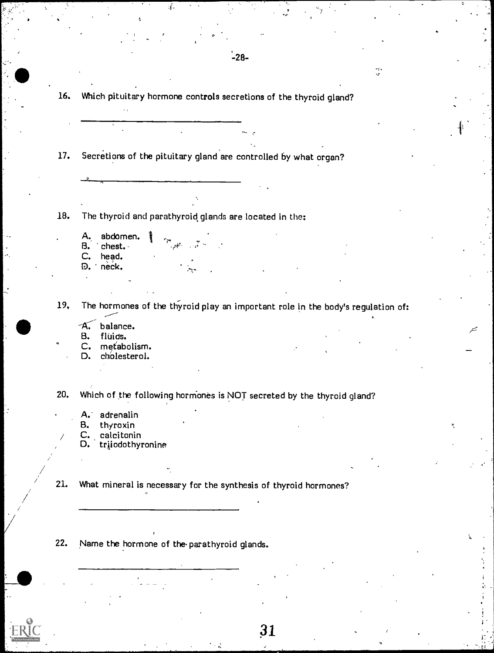|                                                                                                                                                                                                                                                                                                                                                                                                      | Which pituitary hormone controls secretions of the thyroid gland? |  |
|------------------------------------------------------------------------------------------------------------------------------------------------------------------------------------------------------------------------------------------------------------------------------------------------------------------------------------------------------------------------------------------------------|-------------------------------------------------------------------|--|
|                                                                                                                                                                                                                                                                                                                                                                                                      |                                                                   |  |
|                                                                                                                                                                                                                                                                                                                                                                                                      |                                                                   |  |
|                                                                                                                                                                                                                                                                                                                                                                                                      |                                                                   |  |
| Secretions of the pituitary gland are controlled by what organ?                                                                                                                                                                                                                                                                                                                                      |                                                                   |  |
|                                                                                                                                                                                                                                                                                                                                                                                                      |                                                                   |  |
|                                                                                                                                                                                                                                                                                                                                                                                                      |                                                                   |  |
|                                                                                                                                                                                                                                                                                                                                                                                                      |                                                                   |  |
| The thyroid and parathyroid glands are located in the:                                                                                                                                                                                                                                                                                                                                               |                                                                   |  |
| abdomen.<br>A.                                                                                                                                                                                                                                                                                                                                                                                       |                                                                   |  |
| $\sum_{i=1}^{\infty} \frac{1}{2} \sum_{i=1}^{\infty} \frac{1}{2} \sum_{i=1}^{\infty} \frac{1}{2} \sum_{i=1}^{\infty} \frac{1}{2} \sum_{i=1}^{\infty} \frac{1}{2} \sum_{i=1}^{\infty} \frac{1}{2} \sum_{i=1}^{\infty} \frac{1}{2} \sum_{i=1}^{\infty} \frac{1}{2} \sum_{i=1}^{\infty} \frac{1}{2} \sum_{i=1}^{\infty} \frac{1}{2} \sum_{i=1}^{\infty} \frac{1}{2} \sum_{i=1}^{\infty$<br>chest.<br>В. |                                                                   |  |
| C.<br>head.<br>neck.<br>Đ.                                                                                                                                                                                                                                                                                                                                                                           |                                                                   |  |
|                                                                                                                                                                                                                                                                                                                                                                                                      |                                                                   |  |
|                                                                                                                                                                                                                                                                                                                                                                                                      |                                                                   |  |
| The hormones of the thyroid play an important role in the body's regulation of:                                                                                                                                                                                                                                                                                                                      |                                                                   |  |
| balance.<br>A.                                                                                                                                                                                                                                                                                                                                                                                       |                                                                   |  |
| B.<br>fluids.                                                                                                                                                                                                                                                                                                                                                                                        |                                                                   |  |
|                                                                                                                                                                                                                                                                                                                                                                                                      |                                                                   |  |
| $C_{\bullet}$<br>metabolism.<br>D.                                                                                                                                                                                                                                                                                                                                                                   |                                                                   |  |
| cholesterol.                                                                                                                                                                                                                                                                                                                                                                                         |                                                                   |  |
|                                                                                                                                                                                                                                                                                                                                                                                                      |                                                                   |  |
| Which of the following hormones is NOT secreted by the thyroid gland?                                                                                                                                                                                                                                                                                                                                |                                                                   |  |
| A. adrenalin                                                                                                                                                                                                                                                                                                                                                                                         |                                                                   |  |
| thyroxin<br>в.                                                                                                                                                                                                                                                                                                                                                                                       |                                                                   |  |
| calcitonin<br>C.<br>D.                                                                                                                                                                                                                                                                                                                                                                               |                                                                   |  |
| triiodothyronine                                                                                                                                                                                                                                                                                                                                                                                     |                                                                   |  |
|                                                                                                                                                                                                                                                                                                                                                                                                      |                                                                   |  |
| What mineral is necessary for the synthesis of thyroid hormones?                                                                                                                                                                                                                                                                                                                                     |                                                                   |  |
|                                                                                                                                                                                                                                                                                                                                                                                                      |                                                                   |  |
|                                                                                                                                                                                                                                                                                                                                                                                                      |                                                                   |  |
|                                                                                                                                                                                                                                                                                                                                                                                                      |                                                                   |  |

 $\ddot{\ddot{\psi}}$ 

Ķ

 $\frac{1}{2}$  .

ŀ.

Ţ,

 $ERIC$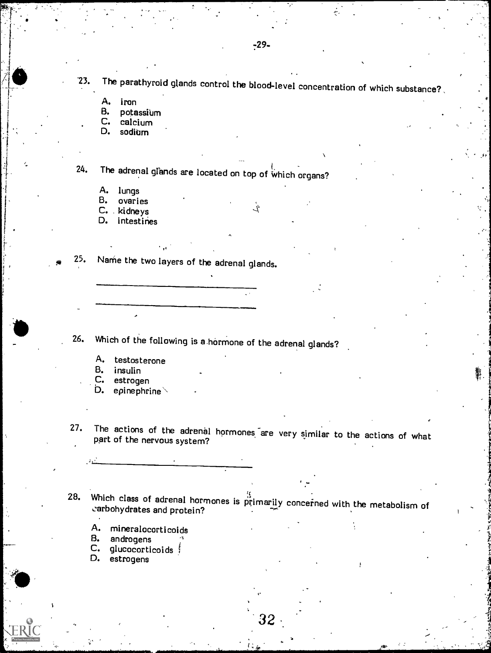$-29-$ 

 $23. \quad$  The parathyroid glands control the blood-level concentration of which substance? .

Ĺ

A. iron<br>B. pota

B. potassium<br>C. calcium

C. calcium<br>D. sodium

sodium

 $24.$  The adrenal glands are located on top of which organs?

A. lungs

B. ovaries

C. kidneys

D. intestines

25. Name the two layers of the adrenal glands.

26. Which of the following is a.harmone of the adrenal glands?

A. testosterone<br>B. insulin

B. insulin<br>C. estroge

estrogen

D. epinephrine $\backslash$ 

27. The actions of the adrenal hormones are very similar to the actions of what part of the nervous system?

28. Which class of adrenal hormones is primarily concerned with the metabolism of carbohydrates and protein?

- A. mineralocorticoids<br>B. androgens
- 
- C. glucocorticoids ;<br>D. estrogens
- 

32

rrs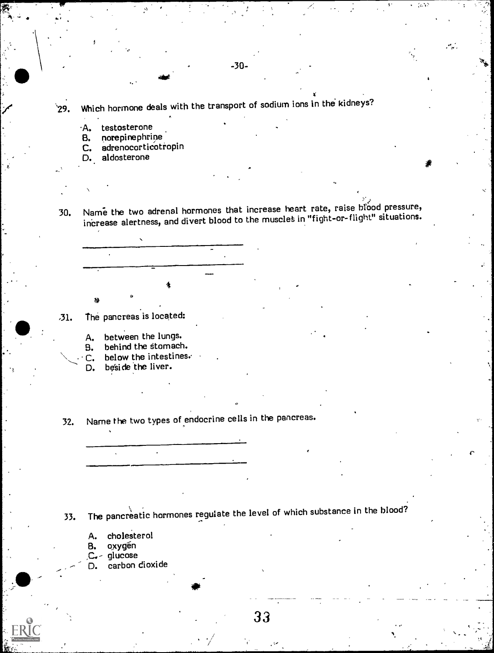$^{\circ}$ 29. Which hormone deals with the transport of sodium ions in the kidneys?

-30-

- A. testosterone<br>B. norepinephri
- B. norepinephrine<br>C. adrenocorticoti
- adrenocorticotropin
- D. aldosterone
- $\frac{1}{2}$ 30. Name the two adrenal hormones that increase heart rate, raise brood pressure, increase alertness, and divert blood to the muscles in "fight-or-flight" situations.

- ,31. The pancreas is located:
	- A. between the lungs.
	- behind the stomach.
	- $\mathbb C$ . below the intestines.<br>D. beside the liver.
	- beside the liver.
- 32. Name the two types of endocrine cells in the pancreas.

33. The pancreatic hormones regulate the level of which substance in the blood?

- A. cholesterol<br>B. oxygén
- oxygén
- ,C.- glucose
- carbon dioxide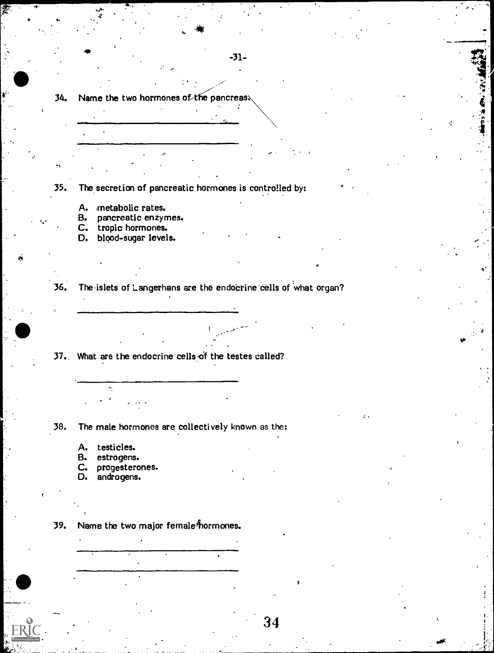34. Name the two hormones of the pancreas.

35. The secretion of pancreatic hormones is controlled by:

- A. metabolic rates.
- B. pancreatic enzymes.
- C. tropic hormones.
- D. blood-sugar levels.

36. The islets of Langerhans are the endocrine cells of what organ?

37.. What are the endocrine cells of the testes called?

38. The male hormones are collectively known as the:

A. testicles.

- B. estrogens.
- C. progesterones.<br>D. androgens.
- androgens.

39. Name the two major female<sup>#</sup>normones.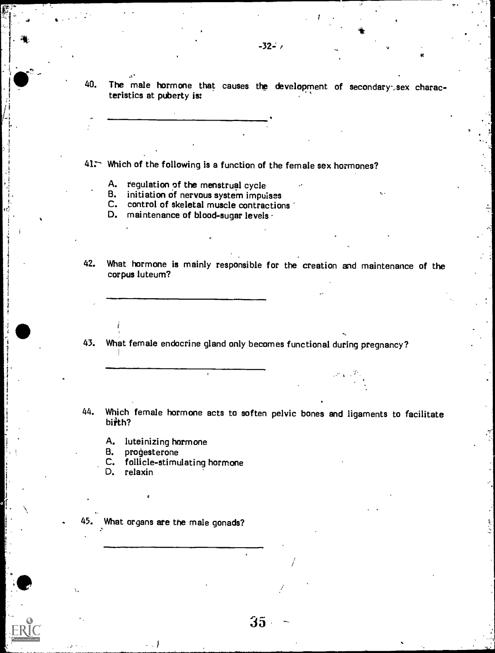41. Which of the following is a function of the female sex hormones?

A. regulation of the menstrual cycle

 $\mathbf{a}^*$  , and

- B. initiation of nervous system impulses
- C. control of skeletal muscle contractions
- D. maintenance of blood-sugar levels ·
- 42. What hormone is mainly responsible for the creation and maintenance of the corpus luteum?
- 43. What female endocrine gland only becomes functional during pregnancy?
- 44. Which female hormone acts to soften pelvic bones and ligaments to facilitate biith?

35

/

A. luteinizing hormone<br>B. prodesterone

.

- B. progesterone<br>C. follicle-stimu
- C. follicle-stimulating hormone<br>D. relaxin
- relaxin

I

What organs are the male gonads?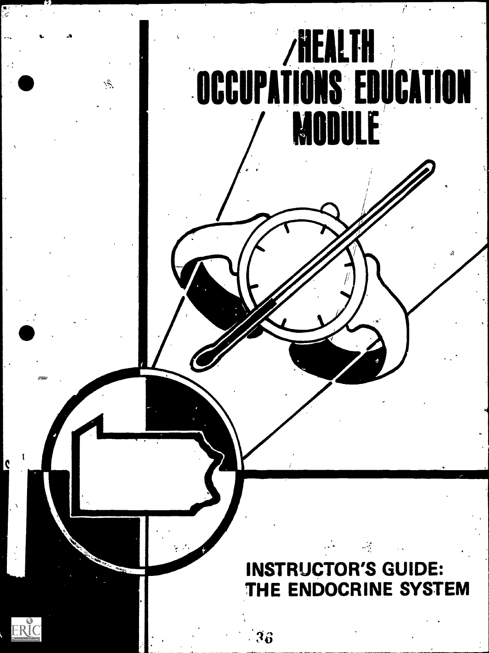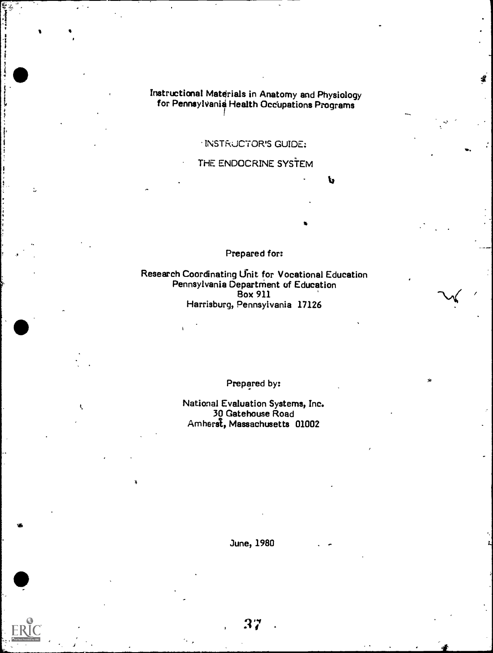Instructional Materials in Anatomy and Physiology for Pennsylvania Health Occupations Programs

!

INSTRUCTOR'S GUIDE:

THE ENDOCRINE SYSTEM

 $\mathbf b$ 

/

Prepared for:

Is

Research Coordinating Unit for Vocational Education Pennsylvania Departnient of Education Box 911 Harrisburg, Pennsylvania 17126

Prepared by:

National Evaluation Systems, Inc. 30 Gatehouse Road Amherst, Massachusetts 01002

June, 1980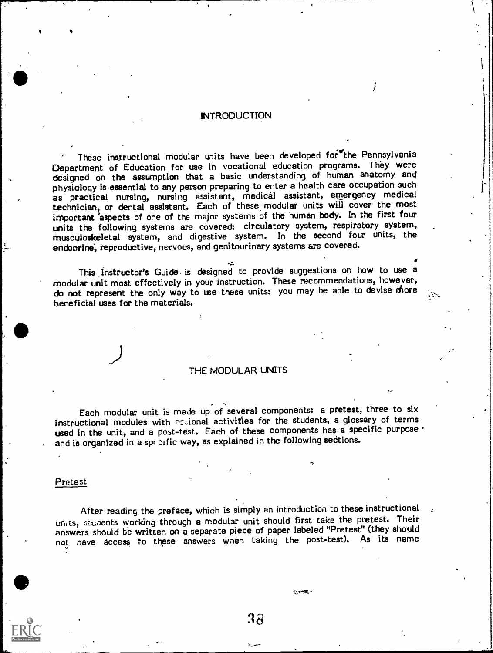#### INTRODUCTION

These instructional modular units have been developed for the Pennsylvania Department of Education for use in vocational education programs. They were designed on the assumption that a basic understanding of human anatomy and physiology is essential to any person preparing to enter a health care occupation such as practical nursing, nursing assistant, medical assistant, emergency medical technician, or dental assistant. Each of these, modular units will cover the most important aspects of one of the major systems of the human body. In the first four units the following systems are covered: circulatory system, respiratory system, musculoskeletal system, and digestive system. In the second four units, the endocrine, reproductive, nervous, and genitourinary systems are covered.

This Instructor's Guide, is designed to provide suggestions on how to use a modular unit most effectively in your instruction. These recommendations, however, do not represent the only way to use these units: you may be able to devise more beneficial uses for the materials.

#### THE MODULAR UNITS

Each modular unit is made up of several components: a pretest, three to six instructional modules with ortional activities for the students, a glossary of terms used in the unit, and a post-test. Each of these components has a specific purpose. and is organized in a spr nific way, as explained in the following sections.

#### Pretest

After reading the preface, which is simply an introduction to these instructional units, students working through a modular unit should first take the pretest. Their answers should be written on a separate piece of paper labeled "Pretest" (they should not rave access to these answers wnen taking the post-test). As its name

:18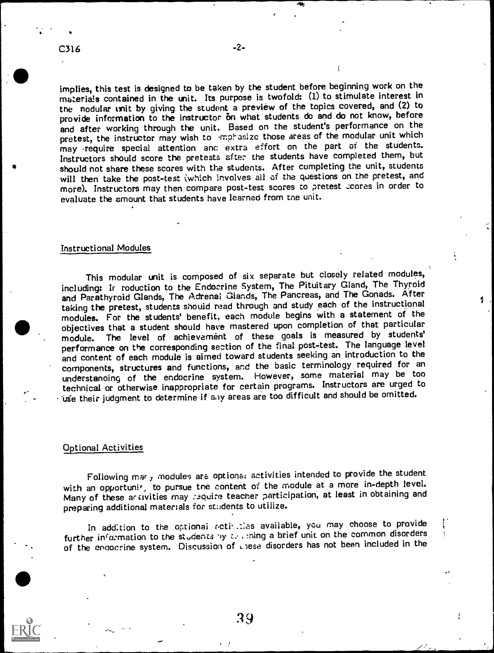implies, this test is designed to be taken by the student before beginning work on the materials contained in the unit. Its purpose is twofold: (1) to stimulate interest in the nodular unit by giving the student a preview of the topics covered, and (2) to provide information to the instructor on what students do and do not know, before and after working through the unit. Based on the student's performance on the pretest, the instructor may wish to -mphasize those areas of the modular unit which may require special attention anc extra effort on the part of the students. Instructors should score the pretests after the students have completed them, but should not share these scores with the students. After completing the unit, students will then take the post-test (which involves all of the questions on the pretest, and more). Instructors may then compare post-test scores to pretest coores in order to evaluate the amount that students have learned from tne unit.

#### Instructional Modules

This modular unit is composed of six separate but closely related modules, including: Ir roduction to the Endocrine System, The Pituitary Gland, The Thyroid and Parathyroid Glands, The Adrenal Glands, The Pancreas, and The Gonads. After taking the pretest, students should read through and study each of the instructional modules. For the students' benefit, each module begins with a statement of the objectives that a student should have mastered upon completion of that particular module. The level of achievement of these goals is measured by students' performance on the corresponding section of the final post-test. The language level and content of each module is aimed toward students seeking an introduction to the components, structures and functions, and the basic terminology required for an understanoing of the endocrine system. However, some material may be too technical or otherwise inappropriate for certain programs. Instructors are urged to 'Ufe their judgment to determine if aoy areas are too difficult and should be omitted.

#### Optional Activities

Following mar y modules are optional activities intended to provide the student with an opportunit, to pursue tne content of the module at a more in-depth level. Many of these artivities may require teacher participation, at least in obtaining and preparing additional materials for students to utilize.

In addition to the optional activities available, you may choose to provide further information to the students by  $z$ . , ning a brief unit on the common disorders of the endocrine system. Discussion of L. lese disorders has not been included in the

 $\overline{\mathscr{L}}$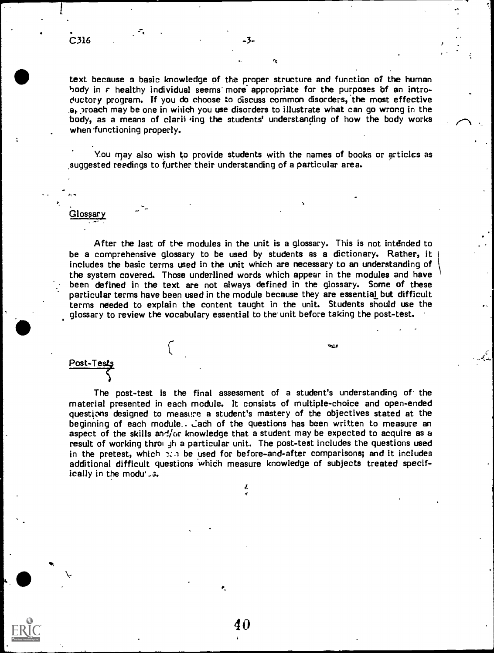text because a basic knowledge of the proper structure and function of the human body in  $\epsilon$  healthy individual seems more appropriate for the purposes of an introductory program. If you do choose to discuss common disorders, the most effective  $a<sub>k</sub>$ , roach may be one in which you use disorders to illustrate what can go wrong in the body, as a means of clarii ing the students' understanding of how the body works when 'functioning properly.

You nay also wish to provide students with the names of books or articles as suggested readings to further their understanding of a particular area.

## Glossary

After the last of the modules in the unit is a glossary. This is not intended to be a comprehensive glossary to be used by students as a dictionary. Rather, it includes the basic terms used in the unit which are necessary to an understanding of the system covered. Those underlined words which appear in the modules and have been defined in the text are not always defined in the glossary. Some of these particular terms have been used in the module because they are essential but difficult terms needed to explain the content taught in the unit. Students should use the glossary to review the vocabulary essential to the unit before taking the post-test.

 $\mathcal{L}$  and  $\mathcal{L}$ 

Post-Test

The post-test is the final assessment of a student's understanding of the material presented in each module. It consists of multiple-choice and open-ended questions designed to measure. a student's mastery of the objectives stated at the beginning of each module.. Lach of the questions has been written to measure an aspect of the skills and/or knowledge that a student may be expected to acquire as  $a$ result of working throw the particular unit. The post-test includes the questions used in the pretest, which  $\pi$ . be used for before-and-after comparisons; and it includes additional difficult questions which measure knowledge of subjects treated specifically in the modu'

J.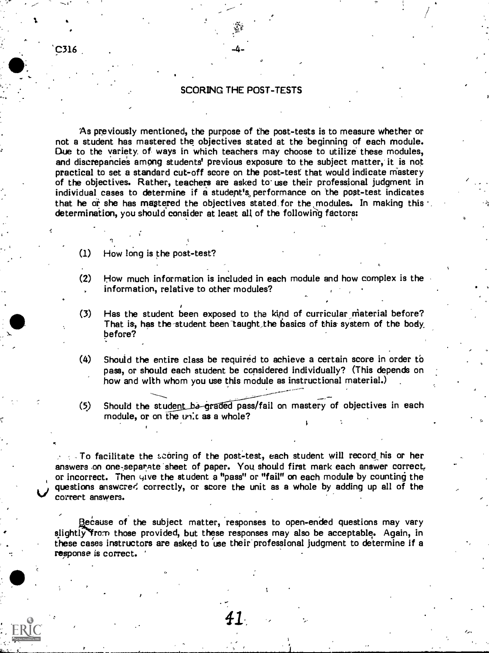#### SCORING THE POST-TESTS

 $\sigma$  and  $\sigma$ 

As previously mentioned, the purpose of the post-tests is to measure whether or not a student has mastered the objectives stated at the 'beginning of each module. Due to the variety, of ways in which teachers may choose to utilize these modules, and discrepancies among students' previous exposure to the subject matter, it is not practical to set a standard cut-off score on the post-test that would indicate mastery of the objectives. Rather, teachers are asked to use their professional judgment in individual cases to determine if a student's, performance on the post-test indicates that he or she has mastered the objectives stated for the modules. In making this  $\cdot$ determination, you should consider at least all of the following factors:

- $(1)$  How long is the post-test?
- (2) How much information is included in each module and how complex is the information, relative to other modules?
- $(3)$  Has the student been exposed to the kind of curricular material before? That is, has the student been taught the basics of this system of the body, before?
- (4) Should the entire class be required to achieve a certain score in order to pass, or should each student be considered individually? (This depends on how and with whom you use this module as instructional material.)
- (5) Should the student be graded pass/fail on mastery of objectives in each module, or on the unit as a whole?

 $\sim$   $\sim$  To facilitate the scoring of the post-test, each student will record his or her answers on one-separate sheet of paper. You should first mark each answer correct, or incorrect. Then give the student a "pass" or "fail" on each module by counting the questions answcred correctly, or score the unit as a whole by adding up all of the correct answers.

Because of the subject matter, responses to open-ended questions may vary slightly from those provided, but these responses may also be acceptable. Again, in these cases instructors are asked to use their professional judgment to determine if a response is correct.

C316 .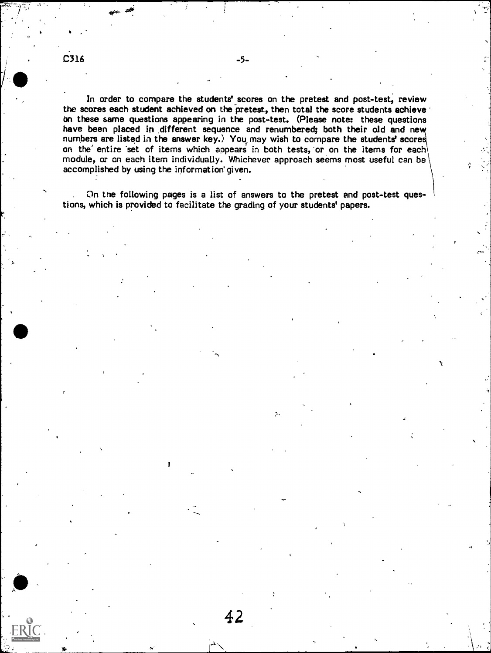$C316$  -5-

In order to compare the students' scores on the pretest and post-test, review the scores each student achieved on the pretest, then total the score students achieve bn these same questions appearing in the post-test. (Please note: these questions have been placed in different sequence and renumbered; both their old and new numbers are listed in the answer key.) You may wish to compare the students' score on the entire set of items which appears in both tests, or on the items for each module, or on each item individually. Whichever approach seems most useful can be accomplished by using the information' given.

On the following pages is a list of answers to the pretest and post-test questions, which is provided to facilitate the grading of your students' papers.

 $\mathbf{S}_i$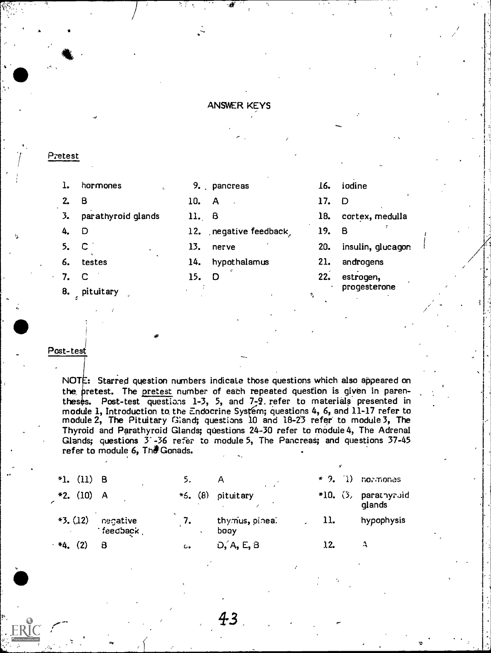#### ANSWER KEYS

#### Pretest

\_.

7.  $\mathbf C$  and  $\mathbf C$  and  $\mathbf C$  and  $\mathbf C$  and  $\mathbf C$  and  $\mathbf C$  and  $\mathbf C$  and  $\mathbf C$  and  $\mathbf C$  and  $\mathbf C$  and  $\mathbf C$  and  $\mathbf C$  and  $\mathbf C$  and  $\mathbf C$  and  $\mathbf C$  and  $\mathbf C$  and  $\mathbf C$  and  $\mathbf C$  and  $\mathbf C$  and  $\mathbf C$  and

8. pituitary

| ı.   | hormones              |       | 9. pancreas            | 16.   | iodine            |
|------|-----------------------|-------|------------------------|-------|-------------------|
| 2.   | - 8                   | 10.   | <b>A</b>               | 17.   | D                 |
|      | 3. parathyroid glands | 11. B |                        | 18.   | cortex, medulla   |
| 4. D |                       |       | 12. negative feedback, | 19. B |                   |
|      | 5. C                  | 13.   | nerve                  | 20.   | insulin, glucagon |
| 6.   | testes                |       | 14. hypothalamus       | 21.   | androgens         |
|      | $7 \quad C$           | ם 15  |                        | 22.   | estrogen.         |

22. estrogen, progesterone

v<sub>v</sub>

#### Post-test

NOTE: Starred question numbers indicate those questions which also appeared on the, pretest. The pretest number of each repeated question is given in parentheses. Post-test questions 1-3, 5, and 7-2. refer to materials presented in module 1, Introduction to the Endocrine System; questions 4, 6, and 11-17 refer to module 2, The Pituitary Giand; questions 10 and 18-23 refer to module 3, The Thyroid and Parathyroid Glands; questions 24-30 refer to module 4, The Adrenal Glands; questions  $3 - 36$  refer to module 5, The Pancreas; and questions  $37-45$ refer to module 6, The Gonads.

| *1. $(11)$ B |                      | 5.        |                        |     | $\star$ 9. (1) normones        |
|--------------|----------------------|-----------|------------------------|-----|--------------------------------|
| $*2. (10) A$ |                      | $*5. (8)$ | pituitary              |     | *10. (3, parathyroid<br>glands |
| $*3. (12)$   | negative<br>feedback | 7.        | thymus, pineal<br>booy | 11. | hypophysis                     |
| $*4.$        |                      | ι.        | D, A, E, B             | 12. | $\boldsymbol{\Lambda}$         |